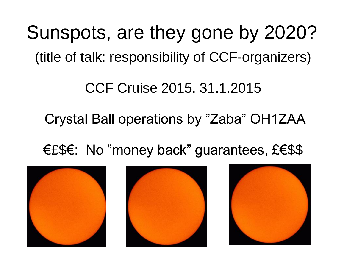Sunspots, are they gone by 2020? (title of talk: responsibility of CCF-organizers)

#### CCF Cruise 2015, 31.1.2015

Crystal Ball operations by "Zaba" OH1ZAA

€£\$€: No "money back" guarantees, £€\$\$





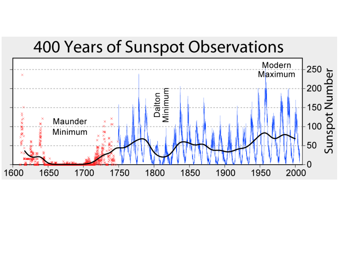#### 400 Years of Sunspot Observations

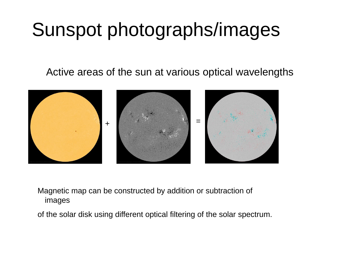# Sunspot photographs/images

Active areas of the sun at various optical wavelengths



Magnetic map can be constructed by addition or subtraction of images

of the solar disk using different optical filtering of the solar spectrum.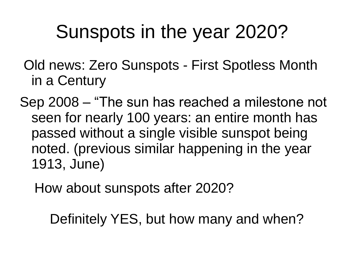## Sunspots in the year 2020?

Old news: Zero Sunspots - First Spotless Month in a Century

Sep 2008 – "The sun has reached a milestone not seen for nearly 100 years: an entire month has passed without a single visible sunspot being noted. (previous similar happening in the year 1913, June)

How about sunspots after 2020?

Definitely YES, but how many and when?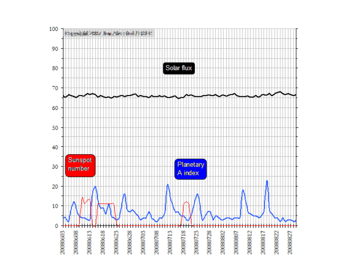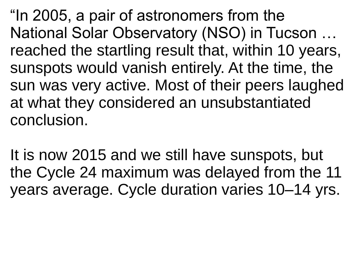"In 2005, a pair of astronomers from the National Solar Observatory (NSO) in Tucson … reached the startling result that, within 10 years, sunspots would vanish entirely. At the time, the sun was very active. Most of their peers laughed at what they considered an unsubstantiated conclusion.

It is now 2015 and we still have sunspots, but the Cycle 24 maximum was delayed from the 11 years average. Cycle duration varies 10–14 yrs.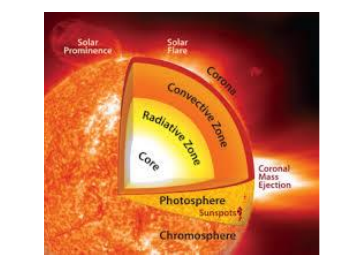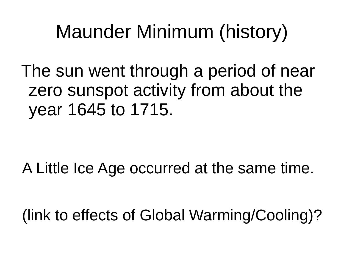# Maunder Minimum (history)

The sun went through a period of near zero sunspot activity from about the year 1645 to 1715.

A Little Ice Age occurred at the same time.

(link to effects of Global Warming/Cooling)?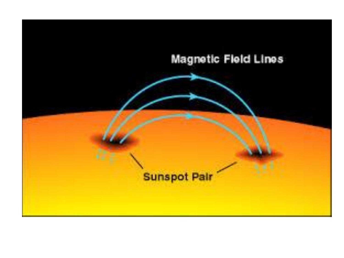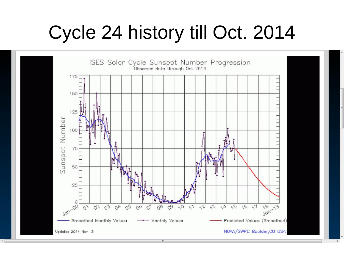# Cycle 24 history till Oct. 2014

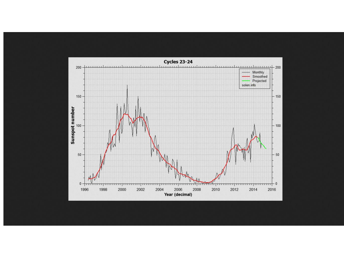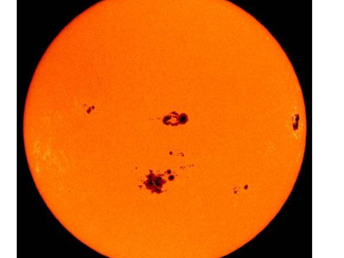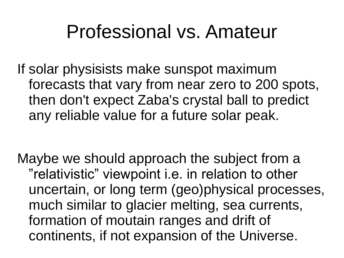## Professional vs. Amateur

If solar physisists make sunspot maximum forecasts that vary from near zero to 200 spots, then don't expect Zaba's crystal ball to predict any reliable value for a future solar peak.

Maybe we should approach the subject from a "relativistic" viewpoint i.e. in relation to other uncertain, or long term (geo)physical processes, much similar to glacier melting, sea currents, formation of moutain ranges and drift of continents, if not expansion of the Universe.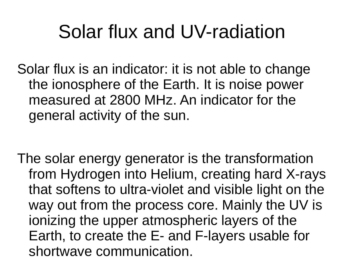## Solar flux and UV-radiation

Solar flux is an indicator: it is not able to change the ionosphere of the Earth. It is noise power measured at 2800 MHz. An indicator for the general activity of the sun.

The solar energy generator is the transformation from Hydrogen into Helium, creating hard X-rays that softens to ultra-violet and visible light on the way out from the process core. Mainly the UV is ionizing the upper atmospheric layers of the Earth, to create the E- and F-layers usable for shortwave communication.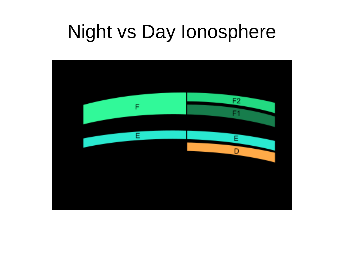## Night vs Day Ionosphere

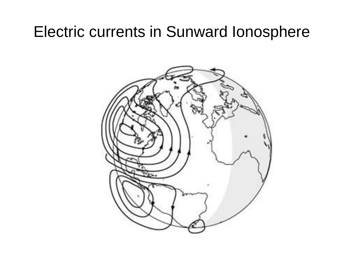#### Electric currents in Sunward Ionosphere

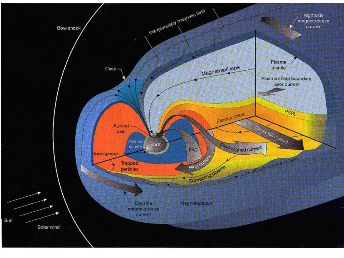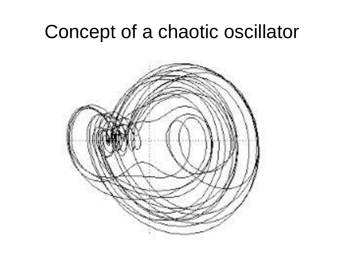## Concept of a chaotic oscillator

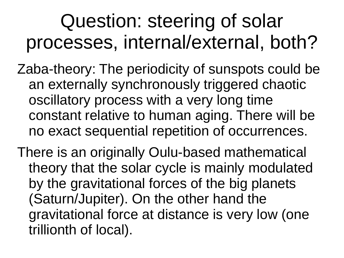## Question: steering of solar processes, internal/external, both?

Zaba-theory: The periodicity of sunspots could be an externally synchronously triggered chaotic oscillatory process with a very long time constant relative to human aging. There will be no exact sequential repetition of occurrences.

There is an originally Oulu-based mathematical theory that the solar cycle is mainly modulated by the gravitational forces of the big planets (Saturn/Jupiter). On the other hand the gravitational force at distance is very low (one trillionth of local).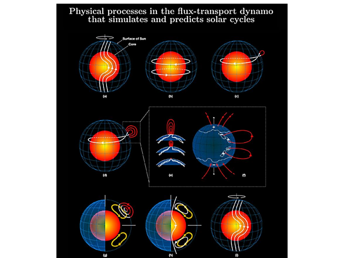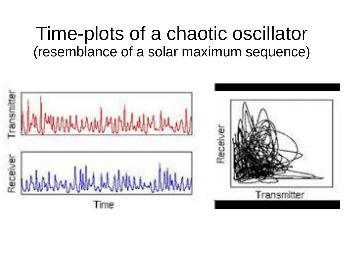#### Time-plots of a chaotic oscillator (resemblance of a solar maximum sequence)

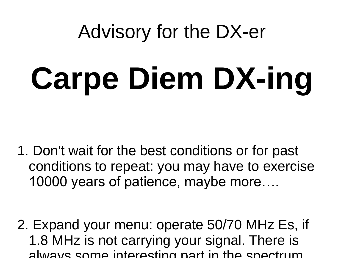# Advisory for the DX-er

# **Carpe Diem DX-ing**

1. Don't wait for the best conditions or for past conditions to repeat: you may have to exercise 10000 years of patience, maybe more….

2. Expand your menu: operate 50/70 MHz Es, if 1.8 MHz is not carrying your signal. There is always some interesting part in the spectrum